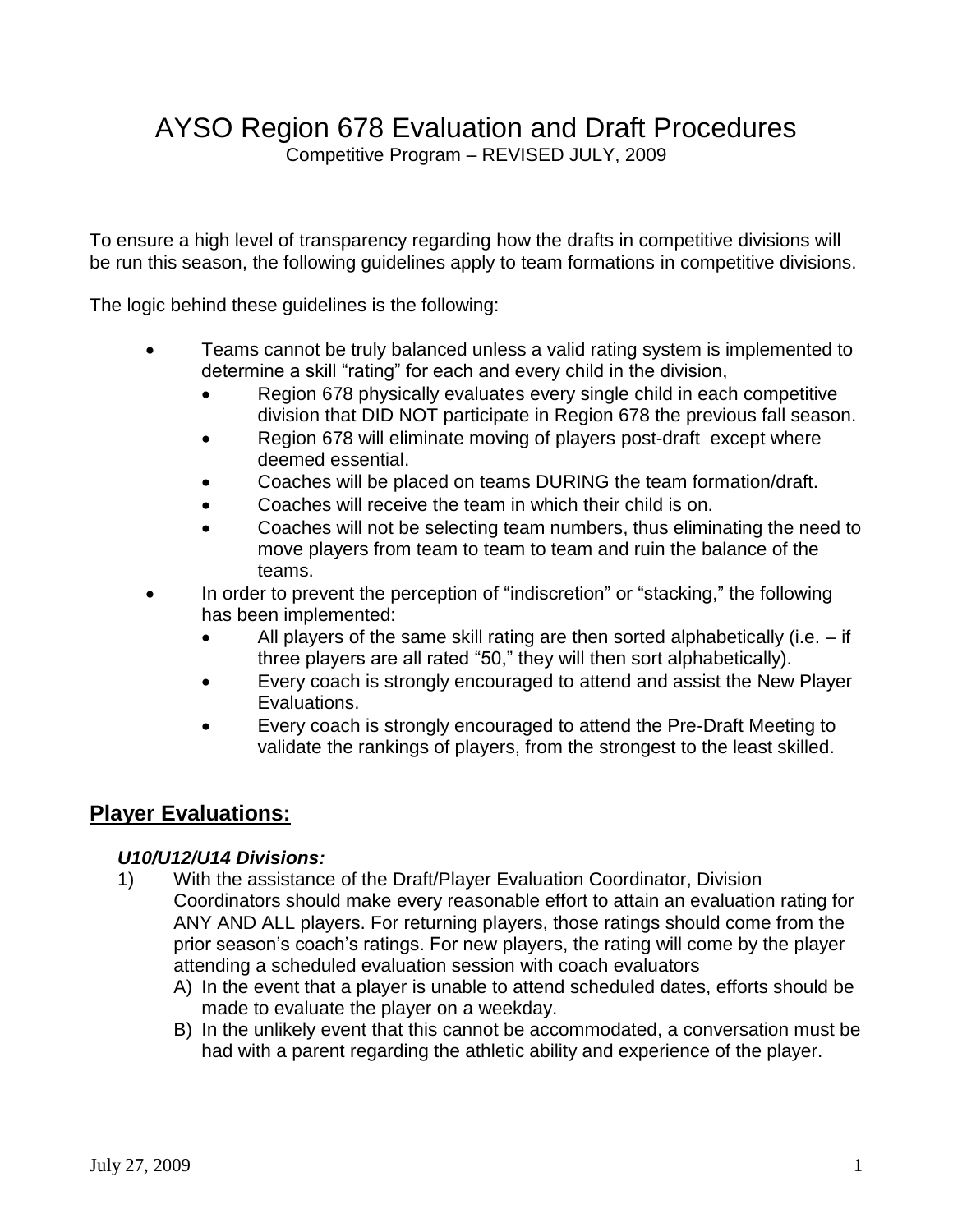# AYSO Region 678 Evaluation and Draft Procedures

Competitive Program – REVISED JULY, 2009

To ensure a high level of transparency regarding how the drafts in competitive divisions will be run this season, the following guidelines apply to team formations in competitive divisions.

The logic behind these guidelines is the following:

- Teams cannot be truly balanced unless a valid rating system is implemented to determine a skill "rating" for each and every child in the division,
	- Region 678 physically evaluates every single child in each competitive division that DID NOT participate in Region 678 the previous fall season.
	- Region 678 will eliminate moving of players post-draft except where deemed essential.
	- Coaches will be placed on teams DURING the team formation/draft.
	- Coaches will receive the team in which their child is on.
	- Coaches will not be selecting team numbers, thus eliminating the need to move players from team to team to team and ruin the balance of the teams.
- In order to prevent the perception of "indiscretion" or "stacking," the following has been implemented:
	- All players of the same skill rating are then sorted alphabetically (i.e. if three players are all rated "50," they will then sort alphabetically).
	- Every coach is strongly encouraged to attend and assist the New Player Evaluations.
	- Every coach is strongly encouraged to attend the Pre-Draft Meeting to validate the rankings of players, from the strongest to the least skilled.

# **Player Evaluations:**

### *U10/U12/U14 Divisions:*

- 1) With the assistance of the Draft/Player Evaluation Coordinator, Division Coordinators should make every reasonable effort to attain an evaluation rating for ANY AND ALL players. For returning players, those ratings should come from the prior season's coach's ratings. For new players, the rating will come by the player attending a scheduled evaluation session with coach evaluators
	- A) In the event that a player is unable to attend scheduled dates, efforts should be made to evaluate the player on a weekday.
	- B) In the unlikely event that this cannot be accommodated, a conversation must be had with a parent regarding the athletic ability and experience of the player.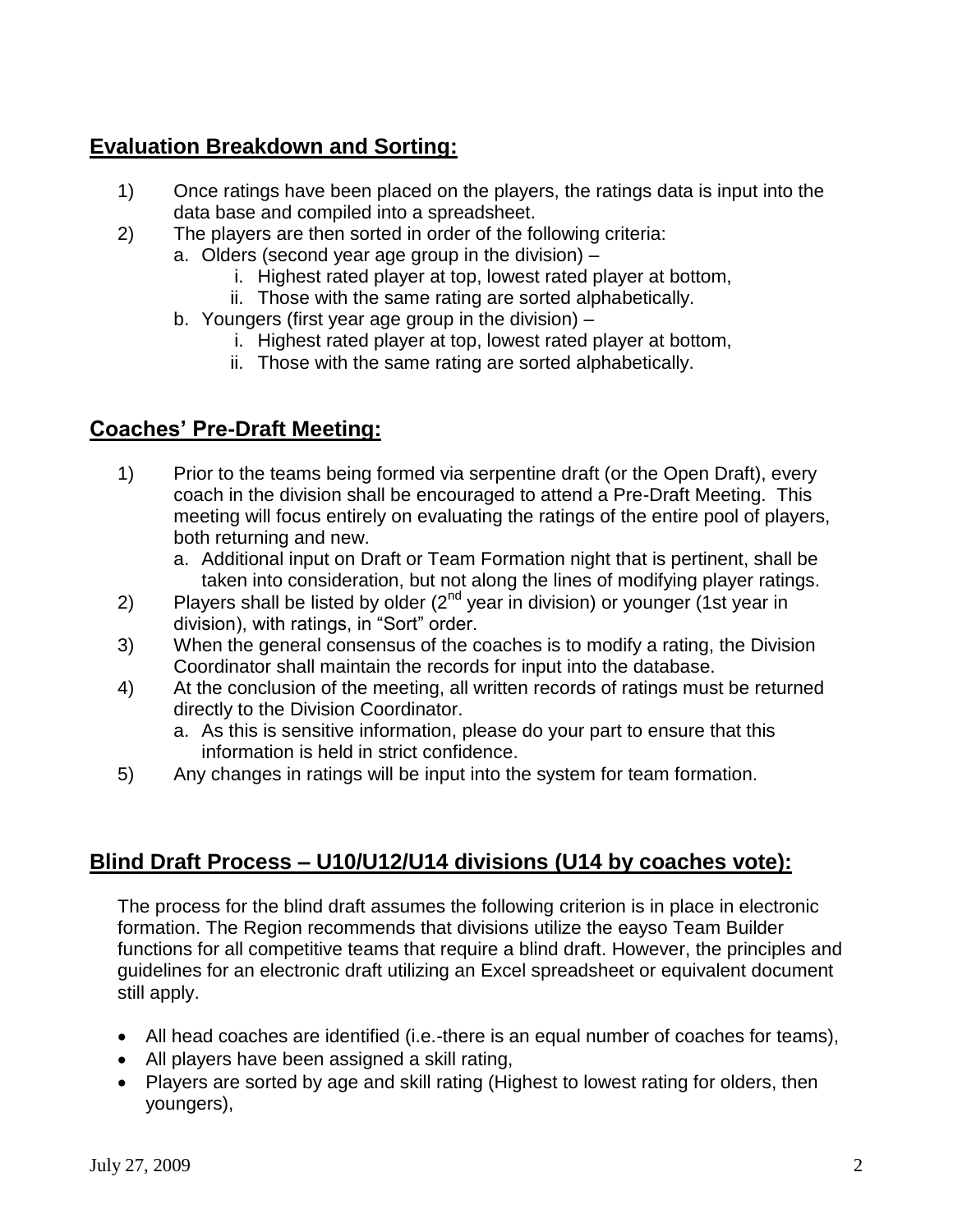# **Evaluation Breakdown and Sorting:**

- 1) Once ratings have been placed on the players, the ratings data is input into the data base and compiled into a spreadsheet.
- 2) The players are then sorted in order of the following criteria:
	- a. Olders (second year age group in the division)
		- i. Highest rated player at top, lowest rated player at bottom,
		- ii. Those with the same rating are sorted alphabetically.
	- b. Youngers (first year age group in the division)
		- i. Highest rated player at top, lowest rated player at bottom,
		- ii. Those with the same rating are sorted alphabetically.

# **Coaches' Pre-Draft Meeting:**

- 1) Prior to the teams being formed via serpentine draft (or the Open Draft), every coach in the division shall be encouraged to attend a Pre-Draft Meeting. This meeting will focus entirely on evaluating the ratings of the entire pool of players, both returning and new.
	- a. Additional input on Draft or Team Formation night that is pertinent, shall be taken into consideration, but not along the lines of modifying player ratings.
- 2) Players shall be listed by older  $(2^{nd}$  year in division) or younger (1st year in division), with ratings, in "Sort" order.
- 3) When the general consensus of the coaches is to modify a rating, the Division Coordinator shall maintain the records for input into the database.
- 4) At the conclusion of the meeting, all written records of ratings must be returned directly to the Division Coordinator.
	- a. As this is sensitive information, please do your part to ensure that this information is held in strict confidence.
- 5) Any changes in ratings will be input into the system for team formation.

# **Blind Draft Process – U10/U12/U14 divisions (U14 by coaches vote):**

The process for the blind draft assumes the following criterion is in place in electronic formation. The Region recommends that divisions utilize the eayso Team Builder functions for all competitive teams that require a blind draft. However, the principles and guidelines for an electronic draft utilizing an Excel spreadsheet or equivalent document still apply.

- All head coaches are identified (i.e.-there is an equal number of coaches for teams),
- All players have been assigned a skill rating,
- Players are sorted by age and skill rating (Highest to lowest rating for olders, then youngers),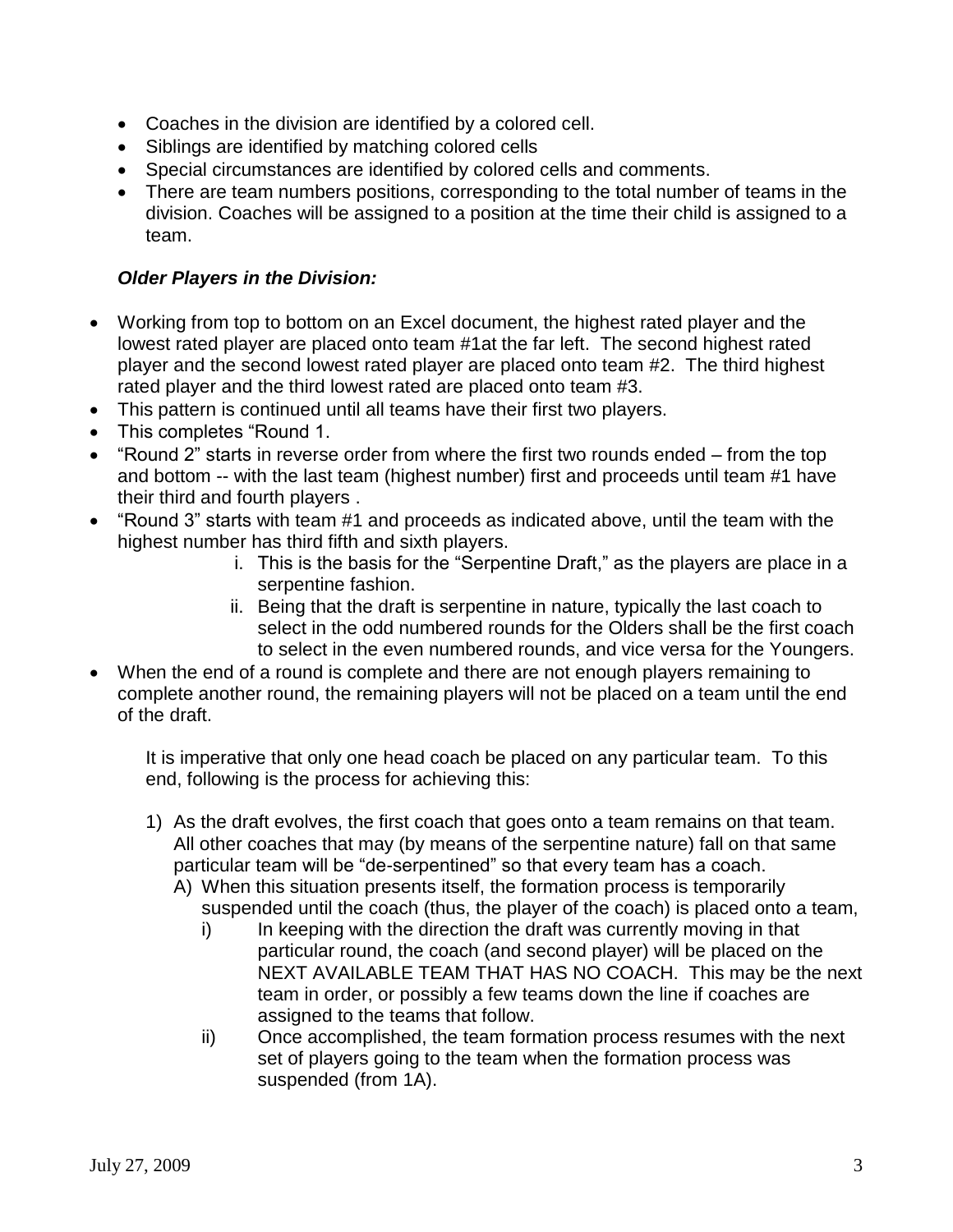- Coaches in the division are identified by a colored cell.
- Siblings are identified by matching colored cells
- Special circumstances are identified by colored cells and comments.
- There are team numbers positions, corresponding to the total number of teams in the division. Coaches will be assigned to a position at the time their child is assigned to a team.

#### *Older Players in the Division:*

- Working from top to bottom on an Excel document, the highest rated player and the lowest rated player are placed onto team #1at the far left. The second highest rated player and the second lowest rated player are placed onto team #2. The third highest rated player and the third lowest rated are placed onto team #3.
- This pattern is continued until all teams have their first two players.
- This completes "Round 1.
- "Round 2" starts in reverse order from where the first two rounds ended from the top and bottom -- with the last team (highest number) first and proceeds until team #1 have their third and fourth players .
- "Round 3" starts with team #1 and proceeds as indicated above, until the team with the highest number has third fifth and sixth players.
	- i. This is the basis for the "Serpentine Draft," as the players are place in a serpentine fashion.
	- ii. Being that the draft is serpentine in nature, typically the last coach to select in the odd numbered rounds for the Olders shall be the first coach to select in the even numbered rounds, and vice versa for the Youngers.
- When the end of a round is complete and there are not enough players remaining to complete another round, the remaining players will not be placed on a team until the end of the draft.

It is imperative that only one head coach be placed on any particular team. To this end, following is the process for achieving this:

- 1) As the draft evolves, the first coach that goes onto a team remains on that team. All other coaches that may (by means of the serpentine nature) fall on that same particular team will be "de-serpentined" so that every team has a coach.
	- A) When this situation presents itself, the formation process is temporarily suspended until the coach (thus, the player of the coach) is placed onto a team,
		- i) In keeping with the direction the draft was currently moving in that particular round, the coach (and second player) will be placed on the NEXT AVAILABLE TEAM THAT HAS NO COACH. This may be the next team in order, or possibly a few teams down the line if coaches are assigned to the teams that follow.
		- ii) Once accomplished, the team formation process resumes with the next set of players going to the team when the formation process was suspended (from 1A).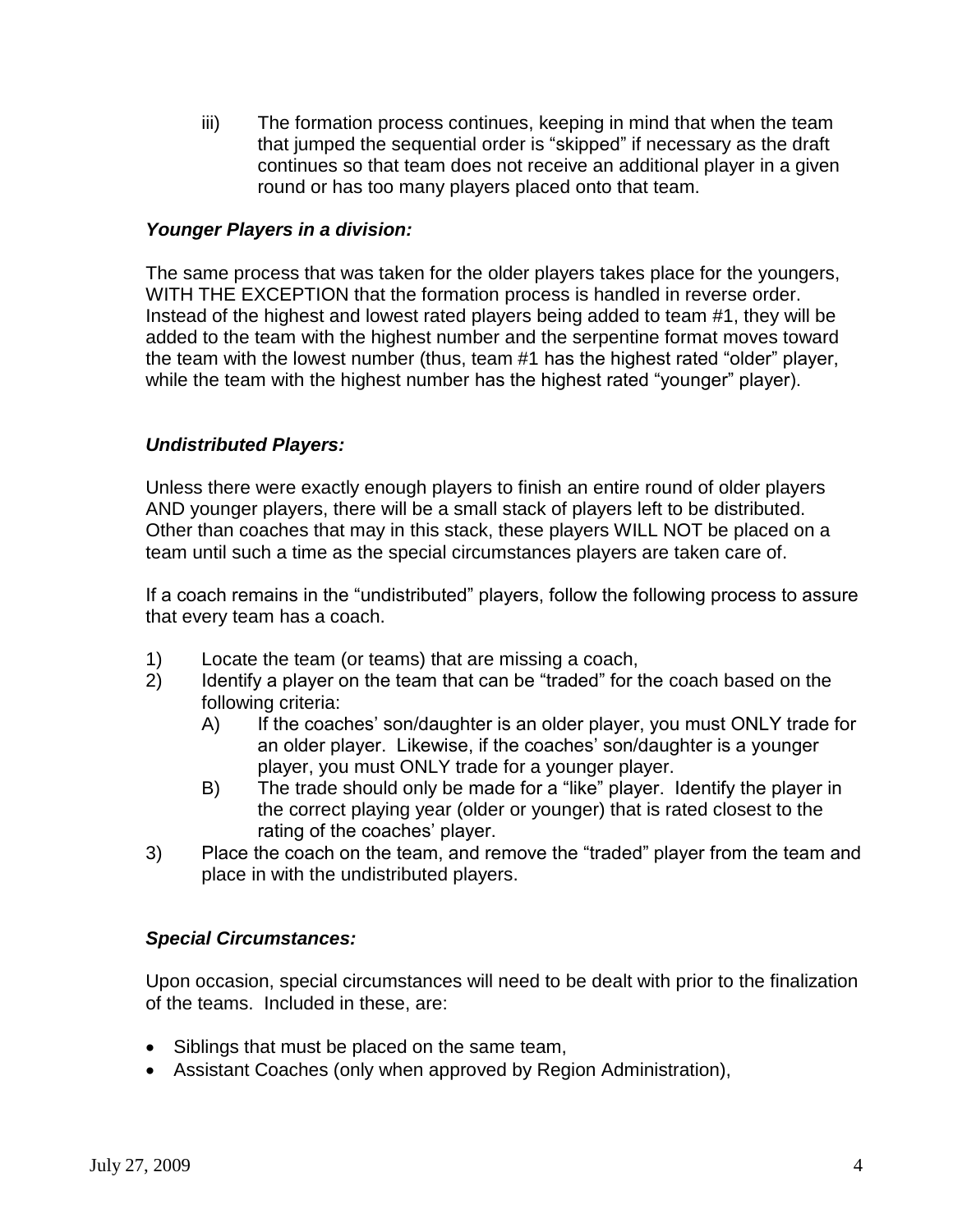iii) The formation process continues, keeping in mind that when the team that jumped the sequential order is "skipped" if necessary as the draft continues so that team does not receive an additional player in a given round or has too many players placed onto that team.

#### *Younger Players in a division:*

The same process that was taken for the older players takes place for the youngers, WITH THE EXCEPTION that the formation process is handled in reverse order. Instead of the highest and lowest rated players being added to team #1, they will be added to the team with the highest number and the serpentine format moves toward the team with the lowest number (thus, team #1 has the highest rated "older" player, while the team with the highest number has the highest rated "younger" player).

#### *Undistributed Players:*

Unless there were exactly enough players to finish an entire round of older players AND younger players, there will be a small stack of players left to be distributed. Other than coaches that may in this stack, these players WILL NOT be placed on a team until such a time as the special circumstances players are taken care of.

If a coach remains in the "undistributed" players, follow the following process to assure that every team has a coach.

- 1) Locate the team (or teams) that are missing a coach,
- 2) Identify a player on the team that can be "traded" for the coach based on the following criteria:
	- A) If the coaches' son/daughter is an older player, you must ONLY trade for an older player. Likewise, if the coaches' son/daughter is a younger player, you must ONLY trade for a younger player.
	- B) The trade should only be made for a "like" player. Identify the player in the correct playing year (older or younger) that is rated closest to the rating of the coaches' player.
- 3) Place the coach on the team, and remove the "traded" player from the team and place in with the undistributed players.

#### *Special Circumstances:*

Upon occasion, special circumstances will need to be dealt with prior to the finalization of the teams. Included in these, are:

- Siblings that must be placed on the same team,
- Assistant Coaches (only when approved by Region Administration),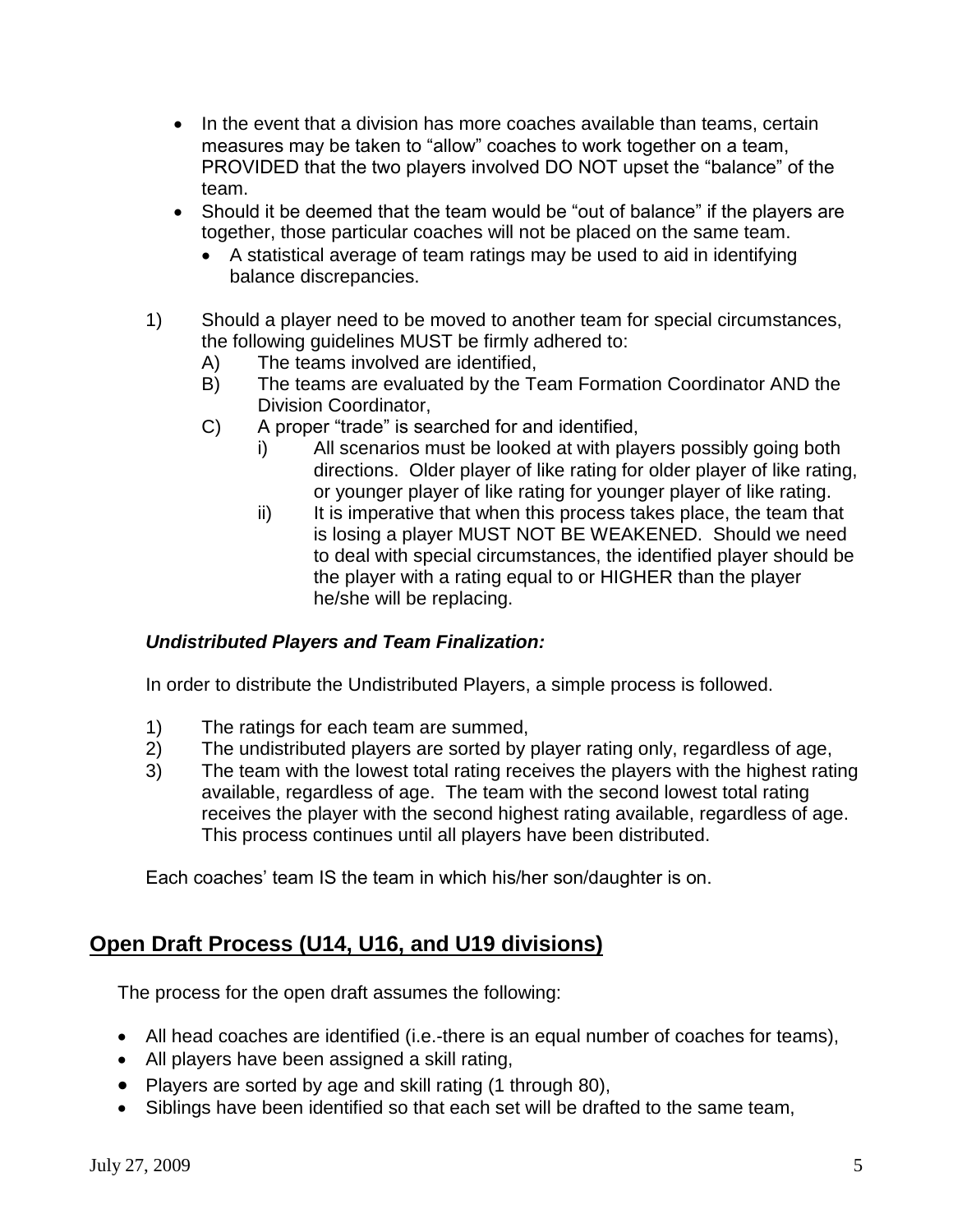- In the event that a division has more coaches available than teams, certain measures may be taken to "allow" coaches to work together on a team, PROVIDED that the two players involved DO NOT upset the "balance" of the team.
- Should it be deemed that the team would be "out of balance" if the players are together, those particular coaches will not be placed on the same team.
	- A statistical average of team ratings may be used to aid in identifying balance discrepancies.
- 1) Should a player need to be moved to another team for special circumstances, the following guidelines MUST be firmly adhered to:
	- A) The teams involved are identified,
	- B) The teams are evaluated by the Team Formation Coordinator AND the Division Coordinator,
	- C) A proper "trade" is searched for and identified,
		- i) All scenarios must be looked at with players possibly going both directions. Older player of like rating for older player of like rating, or younger player of like rating for younger player of like rating.
		- ii) It is imperative that when this process takes place, the team that is losing a player MUST NOT BE WEAKENED. Should we need to deal with special circumstances, the identified player should be the player with a rating equal to or HIGHER than the player he/she will be replacing.

### *Undistributed Players and Team Finalization:*

In order to distribute the Undistributed Players, a simple process is followed.

- 1) The ratings for each team are summed,
- 2) The undistributed players are sorted by player rating only, regardless of age,
- 3) The team with the lowest total rating receives the players with the highest rating available, regardless of age. The team with the second lowest total rating receives the player with the second highest rating available, regardless of age. This process continues until all players have been distributed.

Each coaches' team IS the team in which his/her son/daughter is on.

# **Open Draft Process (U14, U16, and U19 divisions)**

The process for the open draft assumes the following:

- All head coaches are identified (i.e.-there is an equal number of coaches for teams),
- All players have been assigned a skill rating,
- Players are sorted by age and skill rating (1 through 80),
- Siblings have been identified so that each set will be drafted to the same team,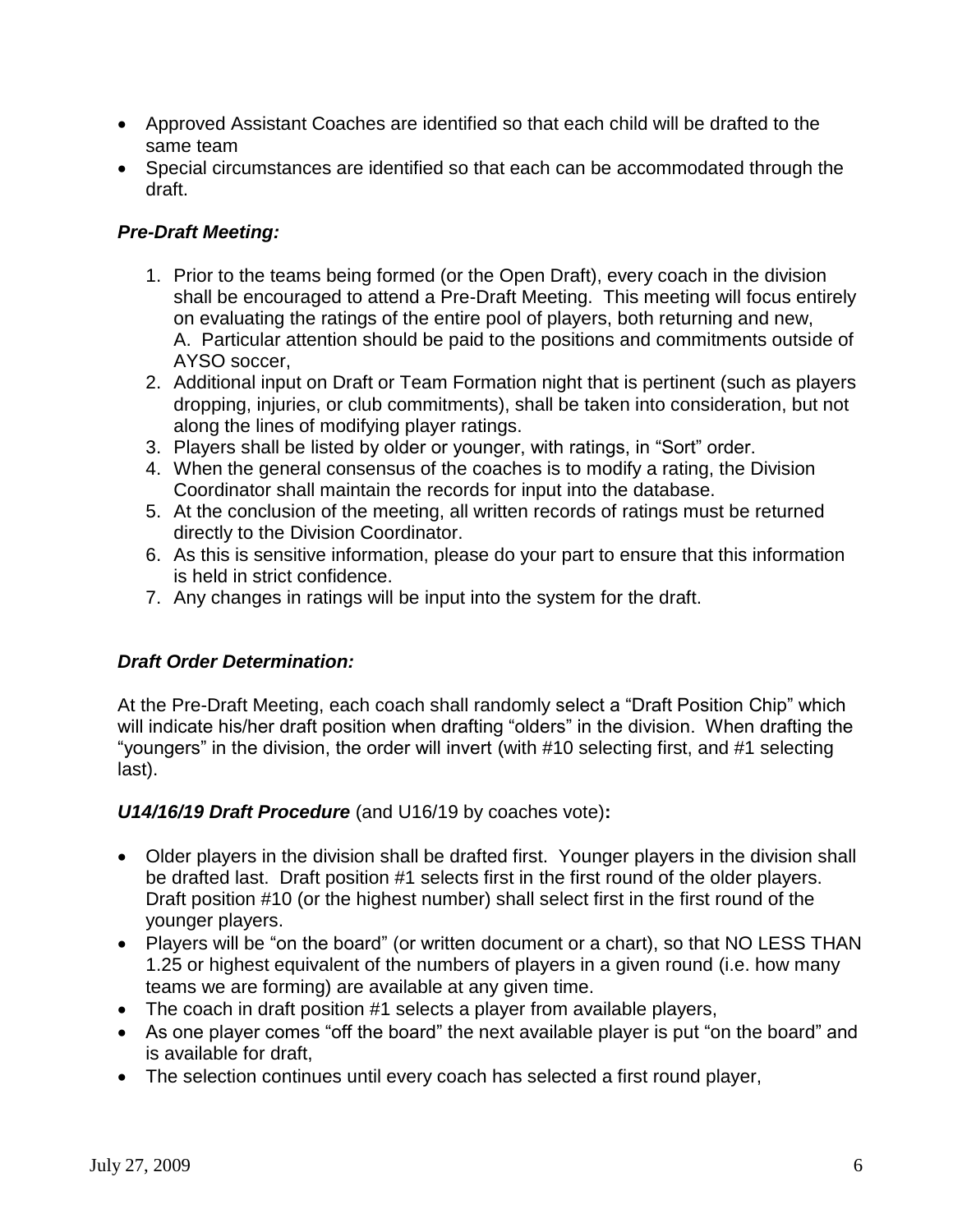- Approved Assistant Coaches are identified so that each child will be drafted to the same team
- Special circumstances are identified so that each can be accommodated through the draft.

### *Pre-Draft Meeting:*

- 1. Prior to the teams being formed (or the Open Draft), every coach in the division shall be encouraged to attend a Pre-Draft Meeting. This meeting will focus entirely on evaluating the ratings of the entire pool of players, both returning and new, A. Particular attention should be paid to the positions and commitments outside of AYSO soccer,
- 2. Additional input on Draft or Team Formation night that is pertinent (such as players dropping, injuries, or club commitments), shall be taken into consideration, but not along the lines of modifying player ratings.
- 3. Players shall be listed by older or younger, with ratings, in "Sort" order.
- 4. When the general consensus of the coaches is to modify a rating, the Division Coordinator shall maintain the records for input into the database.
- 5. At the conclusion of the meeting, all written records of ratings must be returned directly to the Division Coordinator.
- 6. As this is sensitive information, please do your part to ensure that this information is held in strict confidence.
- 7. Any changes in ratings will be input into the system for the draft.

### *Draft Order Determination:*

At the Pre-Draft Meeting, each coach shall randomly select a "Draft Position Chip" which will indicate his/her draft position when drafting "olders" in the division. When drafting the "youngers" in the division, the order will invert (with #10 selecting first, and #1 selecting last).

*U14/16/19 Draft Procedure* (and U16/19 by coaches vote)**:**

- Older players in the division shall be drafted first. Younger players in the division shall be drafted last. Draft position #1 selects first in the first round of the older players. Draft position #10 (or the highest number) shall select first in the first round of the younger players.
- Players will be "on the board" (or written document or a chart), so that NO LESS THAN 1.25 or highest equivalent of the numbers of players in a given round (i.e. how many teams we are forming) are available at any given time.
- The coach in draft position #1 selects a player from available players,
- As one player comes "off the board" the next available player is put "on the board" and is available for draft,
- The selection continues until every coach has selected a first round player,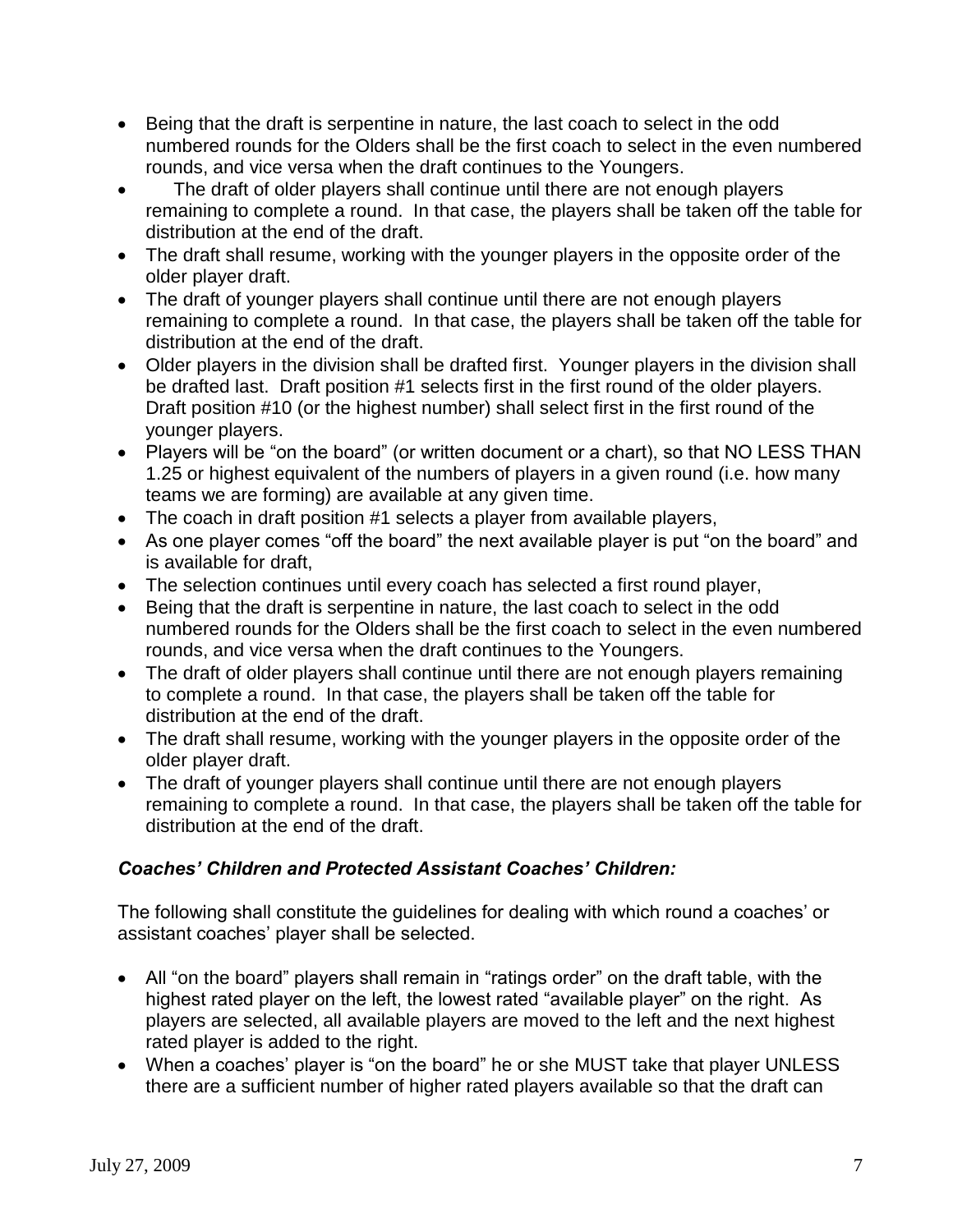- Being that the draft is serpentine in nature, the last coach to select in the odd numbered rounds for the Olders shall be the first coach to select in the even numbered rounds, and vice versa when the draft continues to the Youngers.
- The draft of older players shall continue until there are not enough players remaining to complete a round. In that case, the players shall be taken off the table for distribution at the end of the draft.
- The draft shall resume, working with the younger players in the opposite order of the older player draft.
- The draft of younger players shall continue until there are not enough players remaining to complete a round. In that case, the players shall be taken off the table for distribution at the end of the draft.
- Older players in the division shall be drafted first. Younger players in the division shall be drafted last. Draft position #1 selects first in the first round of the older players. Draft position #10 (or the highest number) shall select first in the first round of the younger players.
- Players will be "on the board" (or written document or a chart), so that NO LESS THAN 1.25 or highest equivalent of the numbers of players in a given round (i.e. how many teams we are forming) are available at any given time.
- The coach in draft position #1 selects a player from available players,
- As one player comes "off the board" the next available player is put "on the board" and is available for draft,
- The selection continues until every coach has selected a first round player,
- Being that the draft is serpentine in nature, the last coach to select in the odd numbered rounds for the Olders shall be the first coach to select in the even numbered rounds, and vice versa when the draft continues to the Youngers.
- The draft of older players shall continue until there are not enough players remaining to complete a round. In that case, the players shall be taken off the table for distribution at the end of the draft.
- The draft shall resume, working with the younger players in the opposite order of the older player draft.
- The draft of younger players shall continue until there are not enough players remaining to complete a round. In that case, the players shall be taken off the table for distribution at the end of the draft.

### *Coaches' Children and Protected Assistant Coaches' Children:*

The following shall constitute the guidelines for dealing with which round a coaches' or assistant coaches' player shall be selected.

- All "on the board" players shall remain in "ratings order" on the draft table, with the highest rated player on the left, the lowest rated "available player" on the right. As players are selected, all available players are moved to the left and the next highest rated player is added to the right.
- When a coaches' player is "on the board" he or she MUST take that player UNLESS there are a sufficient number of higher rated players available so that the draft can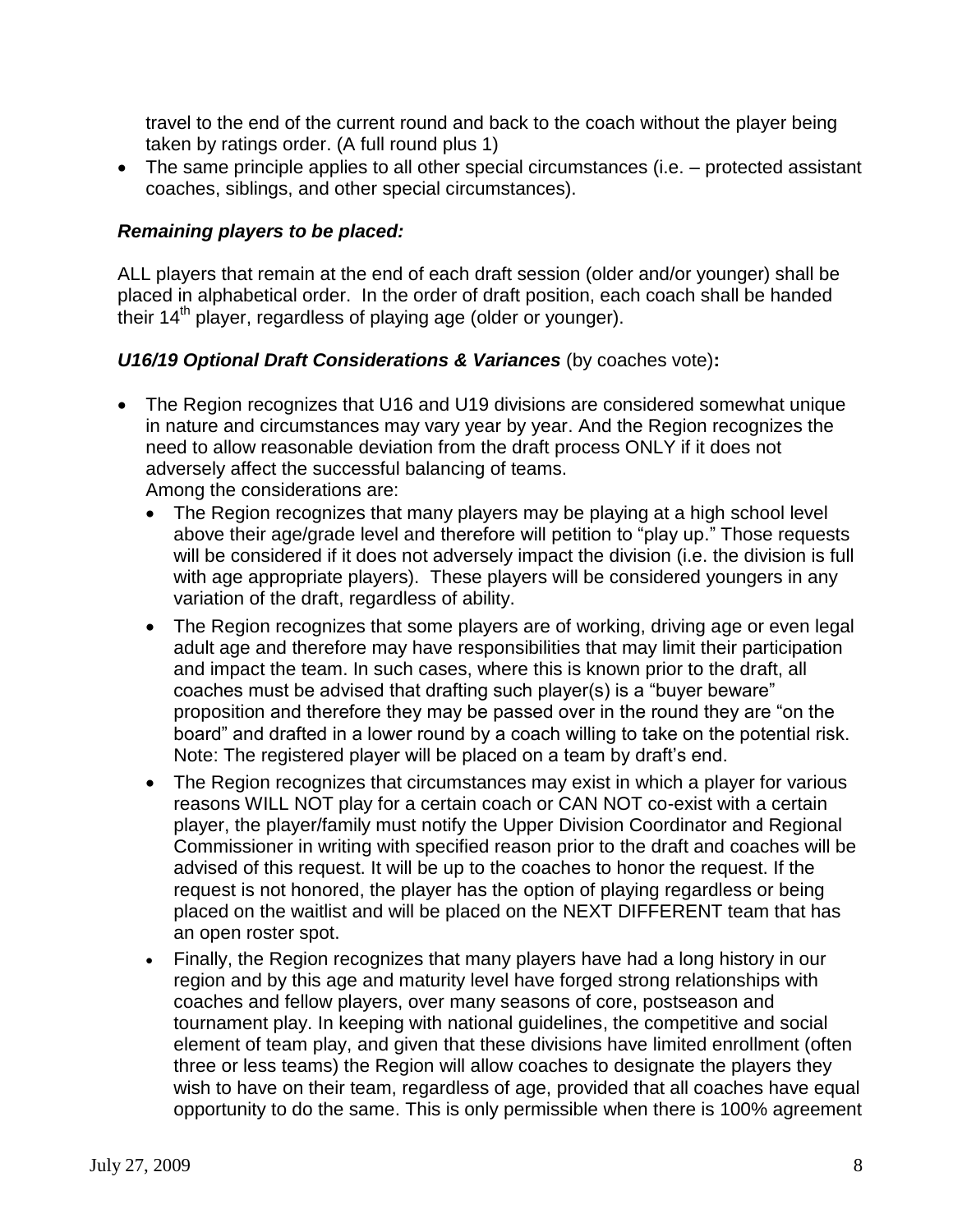travel to the end of the current round and back to the coach without the player being taken by ratings order. (A full round plus 1)

• The same principle applies to all other special circumstances (i.e. – protected assistant coaches, siblings, and other special circumstances).

#### *Remaining players to be placed:*

ALL players that remain at the end of each draft session (older and/or younger) shall be placed in alphabetical order. In the order of draft position, each coach shall be handed their 14<sup>th</sup> player, regardless of playing age (older or younger).

#### *U16/19 Optional Draft Considerations & Variances* (by coaches vote)**:**

 The Region recognizes that U16 and U19 divisions are considered somewhat unique in nature and circumstances may vary year by year. And the Region recognizes the need to allow reasonable deviation from the draft process ONLY if it does not adversely affect the successful balancing of teams.

Among the considerations are:

- The Region recognizes that many players may be playing at a high school level above their age/grade level and therefore will petition to "play up." Those requests will be considered if it does not adversely impact the division (i.e. the division is full with age appropriate players). These players will be considered youngers in any variation of the draft, regardless of ability.
- The Region recognizes that some players are of working, driving age or even legal adult age and therefore may have responsibilities that may limit their participation and impact the team. In such cases, where this is known prior to the draft, all coaches must be advised that drafting such player(s) is a "buyer beware" proposition and therefore they may be passed over in the round they are "on the board" and drafted in a lower round by a coach willing to take on the potential risk. Note: The registered player will be placed on a team by draft's end.
- The Region recognizes that circumstances may exist in which a player for various reasons WILL NOT play for a certain coach or CAN NOT co-exist with a certain player, the player/family must notify the Upper Division Coordinator and Regional Commissioner in writing with specified reason prior to the draft and coaches will be advised of this request. It will be up to the coaches to honor the request. If the request is not honored, the player has the option of playing regardless or being placed on the waitlist and will be placed on the NEXT DIFFERENT team that has an open roster spot.
- Finally, the Region recognizes that many players have had a long history in our region and by this age and maturity level have forged strong relationships with coaches and fellow players, over many seasons of core, postseason and tournament play. In keeping with national guidelines, the competitive and social element of team play, and given that these divisions have limited enrollment (often three or less teams) the Region will allow coaches to designate the players they wish to have on their team, regardless of age, provided that all coaches have equal opportunity to do the same. This is only permissible when there is 100% agreement